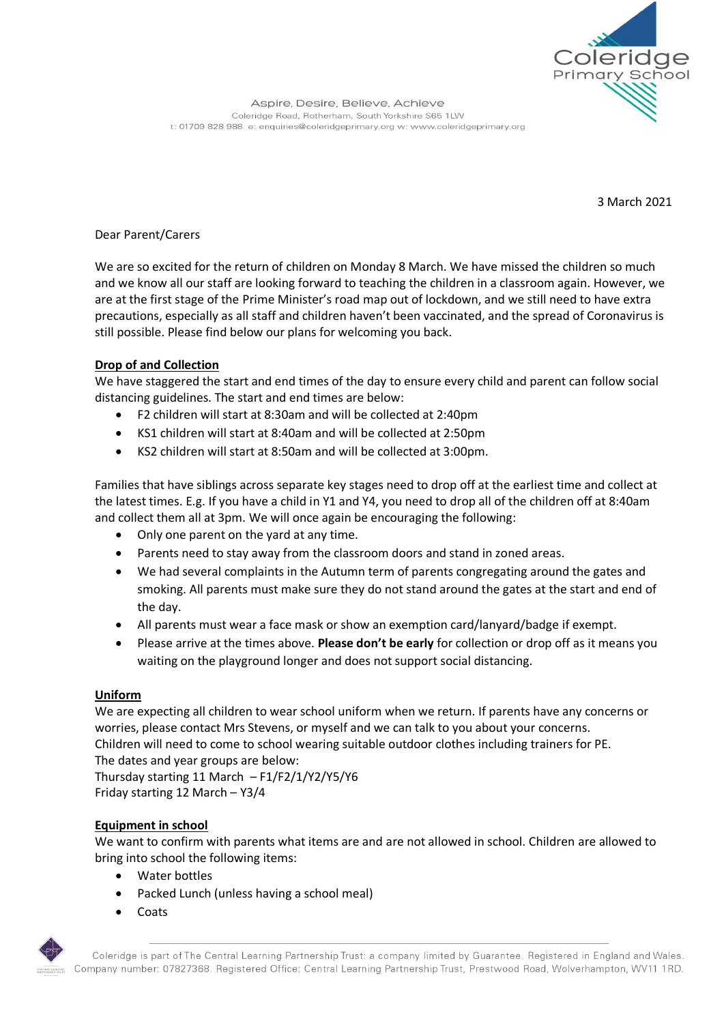

3 March 2021

# Dear Parent/Carers

We are so excited for the return of children on Monday 8 March. We have missed the children so much and we know all our staff are looking forward to teaching the children in a classroom again. However, we are at the first stage of the Prime Minister's road map out of lockdown, and we still need to have extra precautions, especially as all staff and children haven't been vaccinated, and the spread of Coronavirus is still possible. Please find below our plans for welcoming you back.

# **Drop of and Collection**

We have staggered the start and end times of the day to ensure every child and parent can follow social distancing guidelines. The start and end times are below:

- F2 children will start at 8:30am and will be collected at 2:40pm
- KS1 children will start at 8:40am and will be collected at 2:50pm
- KS2 children will start at 8:50am and will be collected at 3:00pm.

Families that have siblings across separate key stages need to drop off at the earliest time and collect at the latest times. E.g. If you have a child in Y1 and Y4, you need to drop all of the children off at 8:40am and collect them all at 3pm. We will once again be encouraging the following:

- Only one parent on the yard at any time.
- Parents need to stay away from the classroom doors and stand in zoned areas.
- We had several complaints in the Autumn term of parents congregating around the gates and smoking. All parents must make sure they do not stand around the gates at the start and end of the day.
- All parents must wear a face mask or show an exemption card/lanyard/badge if exempt.
- Please arrive at the times above. **Please don't be early** for collection or drop off as it means you waiting on the playground longer and does not support social distancing.

## **Uniform**

We are expecting all children to wear school uniform when we return. If parents have any concerns or worries, please contact Mrs Stevens, or myself and we can talk to you about your concerns. Children will need to come to school wearing suitable outdoor clothes including trainers for PE. The dates and year groups are below:

Thursday starting 11 March – F1/F2/1/Y2/Y5/Y6 Friday starting 12 March – Y3/4

# **Equipment in school**

We want to confirm with parents what items are and are not allowed in school. Children are allowed to bring into school the following items:

- Water bottles
- Packed Lunch (unless having a school meal)
- Coats